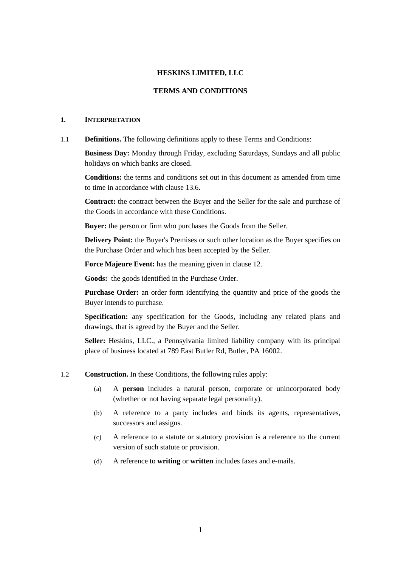#### **HESKINS LIMITED, LLC**

#### **TERMS AND CONDITIONS**

#### **1. INTERPRETATION**

1.1 **Definitions.** The following definitions apply to these Terms and Conditions:

**Business Day:** Monday through Friday, excluding Saturdays, Sundays and all public holidays on which banks are closed.

**Conditions:** the terms and conditions set out in this document as amended from time to time in accordance with clause [13.6.](#page-12-0)

**Contract:** the contract between the Buyer and the Seller for the sale and purchase of the Goods in accordance with these Conditions.

**Buyer:** the person or firm who purchases the Goods from the Seller.

**Delivery Point:** the Buyer's Premises or such other location as the Buyer specifies on the Purchase Order and which has been accepted by the Seller.

**Force Majeure Event:** has the meaning given in clause [12.](#page-10-0)

**Goods:** the goods identified in the Purchase Order.

**Purchase Order:** an order form identifying the quantity and price of the goods the Buyer intends to purchase.

**Specification:** any specification for the Goods, including any related plans and drawings, that is agreed by the Buyer and the Seller.

**Seller:** Heskins, LLC., a Pennsylvania limited liability company with its principal place of business located at 789 East Butler Rd, Butler, PA 16002.

- 1.2 **Construction.** In these Conditions, the following rules apply:
	- (a) A **person** includes a natural person, corporate or unincorporated body (whether or not having separate legal personality).
	- (b) A reference to a party includes and binds its agents, representatives, successors and assigns.
	- (c) A reference to a statute or statutory provision is a reference to the current version of such statute or provision.
	- (d) A reference to **writing** or **written** includes faxes and e-mails.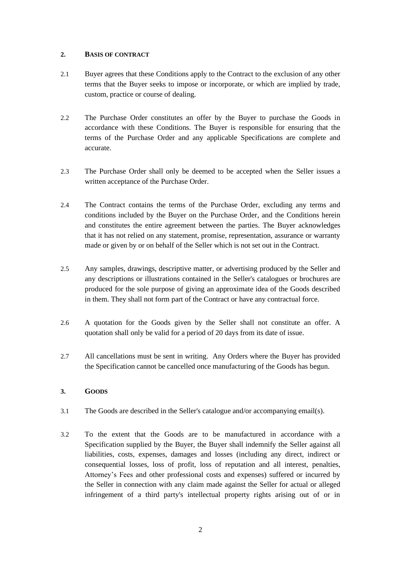# **2. BASIS OF CONTRACT**

- 2.1 Buyer agrees that these Conditions apply to the Contract to the exclusion of any other terms that the Buyer seeks to impose or incorporate, or which are implied by trade, custom, practice or course of dealing.
- 2.2 The Purchase Order constitutes an offer by the Buyer to purchase the Goods in accordance with these Conditions. The Buyer is responsible for ensuring that the terms of the Purchase Order and any applicable Specifications are complete and accurate.
- 2.3 The Purchase Order shall only be deemed to be accepted when the Seller issues a written acceptance of the Purchase Order.
- 2.4 The Contract contains the terms of the Purchase Order, excluding any terms and conditions included by the Buyer on the Purchase Order, and the Conditions herein and constitutes the entire agreement between the parties. The Buyer acknowledges that it has not relied on any statement, promise, representation, assurance or warranty made or given by or on behalf of the Seller which is not set out in the Contract.
- 2.5 Any samples, drawings, descriptive matter, or advertising produced by the Seller and any descriptions or illustrations contained in the Seller's catalogues or brochures are produced for the sole purpose of giving an approximate idea of the Goods described in them. They shall not form part of the Contract or have any contractual force.
- 2.6 A quotation for the Goods given by the Seller shall not constitute an offer. A quotation shall only be valid for a period of 20 days from its date of issue.
- 2.7 All cancellations must be sent in writing. Any Orders where the Buyer has provided the Specification cannot be cancelled once manufacturing of the Goods has begun.

# **3. GOODS**

- 3.1 The Goods are described in the Seller's catalogue and/or accompanying email(s).
- <span id="page-1-0"></span>3.2 To the extent that the Goods are to be manufactured in accordance with a Specification supplied by the Buyer, the Buyer shall indemnify the Seller against all liabilities, costs, expenses, damages and losses (including any direct, indirect or consequential losses, loss of profit, loss of reputation and all interest, penalties, Attorney's Fees and other professional costs and expenses) suffered or incurred by the Seller in connection with any claim made against the Seller for actual or alleged infringement of a third party's intellectual property rights arising out of or in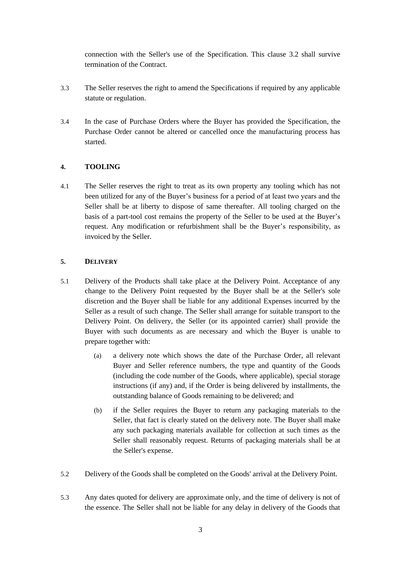connection with the Seller's use of the Specification. This clause [3.2](#page-1-0) shall survive termination of the Contract.

- 3.3 The Seller reserves the right to amend the Specifications if required by any applicable statute or regulation.
- 3.4 In the case of Purchase Orders where the Buyer has provided the Specification, the Purchase Order cannot be altered or cancelled once the manufacturing process has started.

# **4. TOOLING**

4.1 The Seller reserves the right to treat as its own property any tooling which has not been utilized for any of the Buyer's business for a period of at least two years and the Seller shall be at liberty to dispose of same thereafter. All tooling charged on the basis of a part-tool cost remains the property of the Seller to be used at the Buyer's request. Any modification or refurbishment shall be the Buyer's responsibility, as invoiced by the Seller.

# **5. DELIVERY**

- 5.1 Delivery of the Products shall take place at the Delivery Point. Acceptance of any change to the Delivery Point requested by the Buyer shall be at the Seller's sole discretion and the Buyer shall be liable for any additional Expenses incurred by the Seller as a result of such change. The Seller shall arrange for suitable transport to the Delivery Point. On delivery, the Seller (or its appointed carrier) shall provide the Buyer with such documents as are necessary and which the Buyer is unable to prepare together with:
	- (a) a delivery note which shows the date of the Purchase Order, all relevant Buyer and Seller reference numbers, the type and quantity of the Goods (including the code number of the Goods, where applicable), special storage instructions (if any) and, if the Order is being delivered by installments, the outstanding balance of Goods remaining to be delivered; and
	- (b) if the Seller requires the Buyer to return any packaging materials to the Seller, that fact is clearly stated on the delivery note. The Buyer shall make any such packaging materials available for collection at such times as the Seller shall reasonably request. Returns of packaging materials shall be at the Seller's expense.
- 5.2 Delivery of the Goods shall be completed on the Goods' arrival at the Delivery Point.
- 5.3 Any dates quoted for delivery are approximate only, and the time of delivery is not of the essence. The Seller shall not be liable for any delay in delivery of the Goods that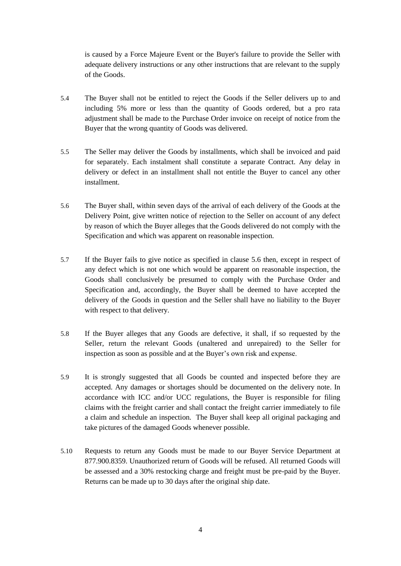is caused by a Force Majeure Event or the Buyer's failure to provide the Seller with adequate delivery instructions or any other instructions that are relevant to the supply of the Goods.

- 5.4 The Buyer shall not be entitled to reject the Goods if the Seller delivers up to and including 5% more or less than the quantity of Goods ordered, but a pro rata adjustment shall be made to the Purchase Order invoice on receipt of notice from the Buyer that the wrong quantity of Goods was delivered.
- 5.5 The Seller may deliver the Goods by installments, which shall be invoiced and paid for separately. Each instalment shall constitute a separate Contract. Any delay in delivery or defect in an installment shall not entitle the Buyer to cancel any other installment.
- 5.6 The Buyer shall, within seven days of the arrival of each delivery of the Goods at the Delivery Point, give written notice of rejection to the Seller on account of any defect by reason of which the Buyer alleges that the Goods delivered do not comply with the Specification and which was apparent on reasonable inspection.
- 5.7 If the Buyer fails to give notice as specified in clause 5.6 then, except in respect of any defect which is not one which would be apparent on reasonable inspection, the Goods shall conclusively be presumed to comply with the Purchase Order and Specification and, accordingly, the Buyer shall be deemed to have accepted the delivery of the Goods in question and the Seller shall have no liability to the Buyer with respect to that delivery.
- 5.8 If the Buyer alleges that any Goods are defective, it shall, if so requested by the Seller, return the relevant Goods (unaltered and unrepaired) to the Seller for inspection as soon as possible and at the Buyer's own risk and expense.
- 5.9 It is strongly suggested that all Goods be counted and inspected before they are accepted. Any damages or shortages should be documented on the delivery note. In accordance with ICC and/or UCC regulations, the Buyer is responsible for filing claims with the freight carrier and shall contact the freight carrier immediately to file a claim and schedule an inspection. The Buyer shall keep all original packaging and take pictures of the damaged Goods whenever possible.
- 5.10 Requests to return any Goods must be made to our Buyer Service Department at 877.900.8359. Unauthorized return of Goods will be refused. All returned Goods will be assessed and a 30% restocking charge and freight must be pre-paid by the Buyer. Returns can be made up to 30 days after the original ship date.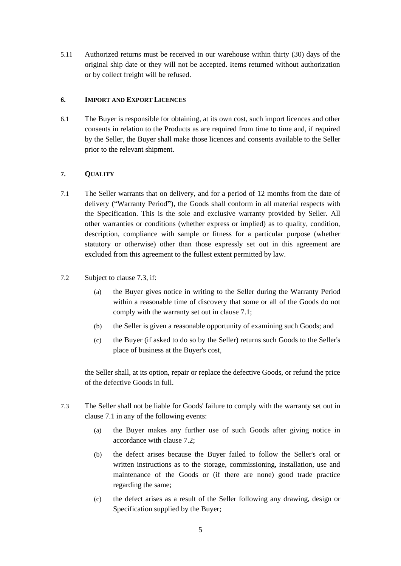5.11 Authorized returns must be received in our warehouse within thirty (30) days of the original ship date or they will not be accepted. Items returned without authorization or by collect freight will be refused.

# **6. IMPORT AND EXPORT LICENCES**

6.1 The Buyer is responsible for obtaining, at its own cost, such import licences and other consents in relation to the Products as are required from time to time and, if required by the Seller, the Buyer shall make those licences and consents available to the Seller prior to the relevant shipment.

# <span id="page-4-1"></span>**7. QUALITY**

- 7.1 The Seller warrants that on delivery, and for a period of 12 months from the date of delivery ("Warranty Period**"**), the Goods shall conform in all material respects with the Specification. This is the sole and exclusive warranty provided by Seller. All other warranties or conditions (whether express or implied) as to quality, condition, description, compliance with sample or fitness for a particular purpose (whether statutory or otherwise) other than those expressly set out in this agreement are excluded from this agreement to the fullest extent permitted by law.
- <span id="page-4-2"></span>7.2 Subject to clause [7.3,](#page-4-0) if:
	- (a) the Buyer gives notice in writing to the Seller during the Warranty Period within a reasonable time of discovery that some or all of the Goods do not comply with the warranty set out in clause [7.1;](#page-4-1)
	- (b) the Seller is given a reasonable opportunity of examining such Goods; and
	- (c) the Buyer (if asked to do so by the Seller) returns such Goods to the Seller's place of business at the Buyer's cost,

the Seller shall, at its option, repair or replace the defective Goods, or refund the price of the defective Goods in full.

- <span id="page-4-0"></span>7.3 The Seller shall not be liable for Goods' failure to comply with the warranty set out in clause [7.1](#page-4-1) in any of the following events:
	- (a) the Buyer makes any further use of such Goods after giving notice in accordance with claus[e 7.2;](#page-4-2)
	- (b) the defect arises because the Buyer failed to follow the Seller's oral or written instructions as to the storage, commissioning, installation, use and maintenance of the Goods or (if there are none) good trade practice regarding the same;
	- (c) the defect arises as a result of the Seller following any drawing, design or Specification supplied by the Buyer;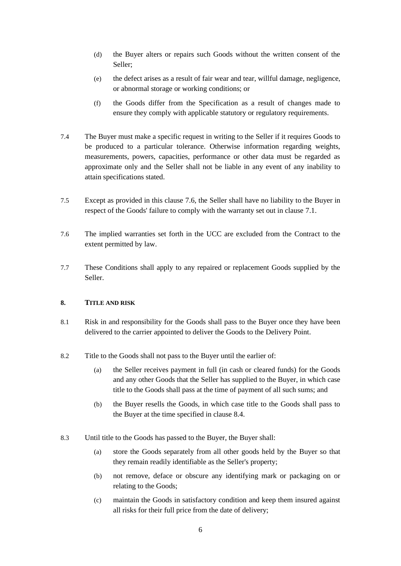- (d) the Buyer alters or repairs such Goods without the written consent of the Seller;
- (e) the defect arises as a result of fair wear and tear, willful damage, negligence, or abnormal storage or working conditions; or
- (f) the Goods differ from the Specification as a result of changes made to ensure they comply with applicable statutory or regulatory requirements.
- 7.4 The Buyer must make a specific request in writing to the Seller if it requires Goods to be produced to a particular tolerance. Otherwise information regarding weights, measurements, powers, capacities, performance or other data must be regarded as approximate only and the Seller shall not be liable in any event of any inability to attain specifications stated.
- 7.5 Except as provided in this clause 7.6, the Seller shall have no liability to the Buyer in respect of the Goods' failure to comply with the warranty set out in clause [7.1.](#page-4-1)
- 7.6 The implied warranties set forth in the UCC are excluded from the Contract to the extent permitted by law.
- 7.7 These Conditions shall apply to any repaired or replacement Goods supplied by the Seller.

### **8. TITLE AND RISK**

- 8.1 Risk in and responsibility for the Goods shall pass to the Buyer once they have been delivered to the carrier appointed to deliver the Goods to the Delivery Point.
- 8.2 Title to the Goods shall not pass to the Buyer until the earlier of:
	- (a) the Seller receives payment in full (in cash or cleared funds) for the Goods and any other Goods that the Seller has supplied to the Buyer, in which case title to the Goods shall pass at the time of payment of all such sums; and
	- (b) the Buyer resells the Goods, in which case title to the Goods shall pass to the Buyer at the time specified in clause [8.4.](#page-6-0)
- 8.3 Until title to the Goods has passed to the Buyer, the Buyer shall:
	- (a) store the Goods separately from all other goods held by the Buyer so that they remain readily identifiable as the Seller's property;
	- (b) not remove, deface or obscure any identifying mark or packaging on or relating to the Goods;
	- (c) maintain the Goods in satisfactory condition and keep them insured against all risks for their full price from the date of delivery;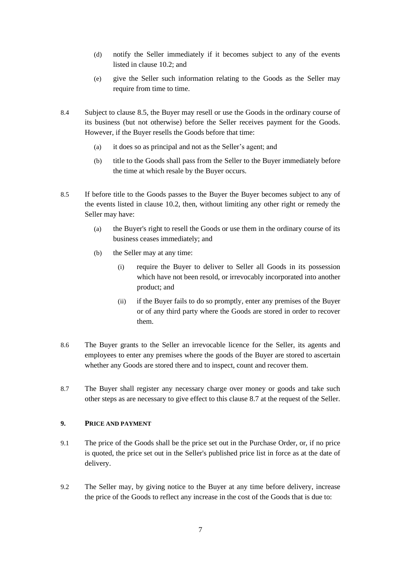- (d) notify the Seller immediately if it becomes subject to any of the events listed in clause [10.2;](#page-8-0) and
- (e) give the Seller such information relating to the Goods as the Seller may require from time to time.
- <span id="page-6-0"></span>8.4 Subject to clause [8.5,](#page-6-1) the Buyer may resell or use the Goods in the ordinary course of its business (but not otherwise) before the Seller receives payment for the Goods. However, if the Buyer resells the Goods before that time:
	- (a) it does so as principal and not as the Seller's agent; and
	- (b) title to the Goods shall pass from the Seller to the Buyer immediately before the time at which resale by the Buyer occurs.
- <span id="page-6-1"></span>8.5 If before title to the Goods passes to the Buyer the Buyer becomes subject to any of the events listed in clause [10.2,](#page-8-0) then, without limiting any other right or remedy the Seller may have:
	- (a) the Buyer's right to resell the Goods or use them in the ordinary course of its business ceases immediately; and
	- (b) the Seller may at any time:
		- (i) require the Buyer to deliver to Seller all Goods in its possession which have not been resold, or irrevocably incorporated into another product; and
		- (ii) if the Buyer fails to do so promptly, enter any premises of the Buyer or of any third party where the Goods are stored in order to recover them.
- 8.6 The Buyer grants to the Seller an irrevocable licence for the Seller, its agents and employees to enter any premises where the goods of the Buyer are stored to ascertain whether any Goods are stored there and to inspect, count and recover them.
- 8.7 The Buyer shall register any necessary charge over money or goods and take such other steps as are necessary to give effect to this clause 8.7 at the request of the Seller.

# **9. PRICE AND PAYMENT**

- 9.1 The price of the Goods shall be the price set out in the Purchase Order, or, if no price is quoted, the price set out in the Seller's published price list in force as at the date of delivery.
- 9.2 The Seller may, by giving notice to the Buyer at any time before delivery, increase the price of the Goods to reflect any increase in the cost of the Goods that is due to: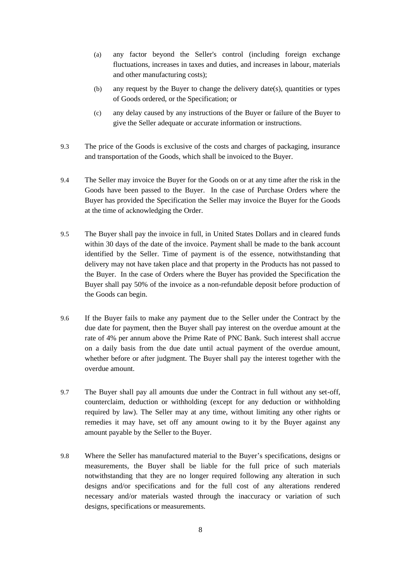- (a) any factor beyond the Seller's control (including foreign exchange fluctuations, increases in taxes and duties, and increases in labour, materials and other manufacturing costs);
- (b) any request by the Buyer to change the delivery date(s), quantities or types of Goods ordered, or the Specification; or
- (c) any delay caused by any instructions of the Buyer or failure of the Buyer to give the Seller adequate or accurate information or instructions.
- 9.3 The price of the Goods is exclusive of the costs and charges of packaging, insurance and transportation of the Goods, which shall be invoiced to the Buyer.
- 9.4 The Seller may invoice the Buyer for the Goods on or at any time after the risk in the Goods have been passed to the Buyer. In the case of Purchase Orders where the Buyer has provided the Specification the Seller may invoice the Buyer for the Goods at the time of acknowledging the Order.
- 9.5 The Buyer shall pay the invoice in full, in United States Dollars and in cleared funds within 30 days of the date of the invoice. Payment shall be made to the bank account identified by the Seller. Time of payment is of the essence, notwithstanding that delivery may not have taken place and that property in the Products has not passed to the Buyer. In the case of Orders where the Buyer has provided the Specification the Buyer shall pay 50% of the invoice as a non-refundable deposit before production of the Goods can begin.
- 9.6 If the Buyer fails to make any payment due to the Seller under the Contract by the due date for payment, then the Buyer shall pay interest on the overdue amount at the rate of 4% per annum above the Prime Rate of PNC Bank. Such interest shall accrue on a daily basis from the due date until actual payment of the overdue amount, whether before or after judgment. The Buyer shall pay the interest together with the overdue amount.
- 9.7 The Buyer shall pay all amounts due under the Contract in full without any set-off, counterclaim, deduction or withholding (except for any deduction or withholding required by law). The Seller may at any time, without limiting any other rights or remedies it may have, set off any amount owing to it by the Buyer against any amount payable by the Seller to the Buyer.
- 9.8 Where the Seller has manufactured material to the Buyer's specifications, designs or measurements, the Buyer shall be liable for the full price of such materials notwithstanding that they are no longer required following any alteration in such designs and/or specifications and for the full cost of any alterations rendered necessary and/or materials wasted through the inaccuracy or variation of such designs, specifications or measurements.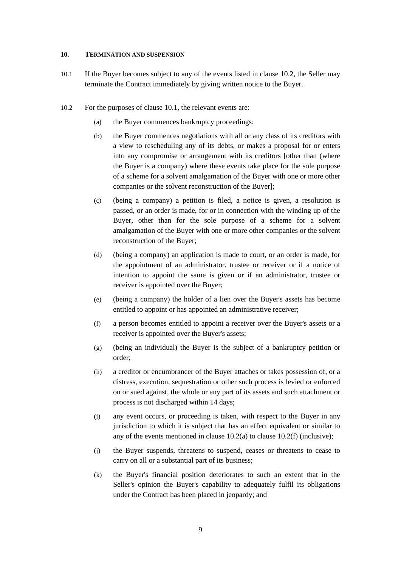#### <span id="page-8-1"></span>**10. TERMINATION AND SUSPENSION**

- 10.1 If the Buyer becomes subject to any of the events listed in clause [10.2,](#page-8-0) the Seller may terminate the Contract immediately by giving written notice to the Buyer.
- <span id="page-8-3"></span><span id="page-8-2"></span><span id="page-8-0"></span>10.2 For the purposes of clause [10.1,](#page-8-1) the relevant events are:
	- (a) the Buyer commences bankruptcy proceedings;
	- (b) the Buyer commences negotiations with all or any class of its creditors with a view to rescheduling any of its debts, or makes a proposal for or enters into any compromise or arrangement with its creditors [other than (where the Buyer is a company) where these events take place for the sole purpose of a scheme for a solvent amalgamation of the Buyer with one or more other companies or the solvent reconstruction of the Buyer];
	- (c) (being a company) a petition is filed, a notice is given, a resolution is passed, or an order is made, for or in connection with the winding up of the Buyer, other than for the sole purpose of a scheme for a solvent amalgamation of the Buyer with one or more other companies or the solvent reconstruction of the Buyer;
	- (d) (being a company) an application is made to court, or an order is made, for the appointment of an administrator, trustee or receiver or if a notice of intention to appoint the same is given or if an administrator, trustee or receiver is appointed over the Buyer;
	- (e) (being a company) the holder of a lien over the Buyer's assets has become entitled to appoint or has appointed an administrative receiver;
	- (f) a person becomes entitled to appoint a receiver over the Buyer's assets or a receiver is appointed over the Buyer's assets;
	- (g) (being an individual) the Buyer is the subject of a bankruptcy petition or order;
	- (h) a creditor or encumbrancer of the Buyer attaches or takes possession of, or a distress, execution, sequestration or other such process is levied or enforced on or sued against, the whole or any part of its assets and such attachment or process is not discharged within 14 days;
	- (i) any event occurs, or proceeding is taken, with respect to the Buyer in any jurisdiction to which it is subject that has an effect equivalent or similar to any of the events mentioned in clause  $10.2(a)$  to clause  $10.2(f)$  (inclusive);
	- (j) the Buyer suspends, threatens to suspend, ceases or threatens to cease to carry on all or a substantial part of its business;
	- (k) the Buyer's financial position deteriorates to such an extent that in the Seller's opinion the Buyer's capability to adequately fulfil its obligations under the Contract has been placed in jeopardy; and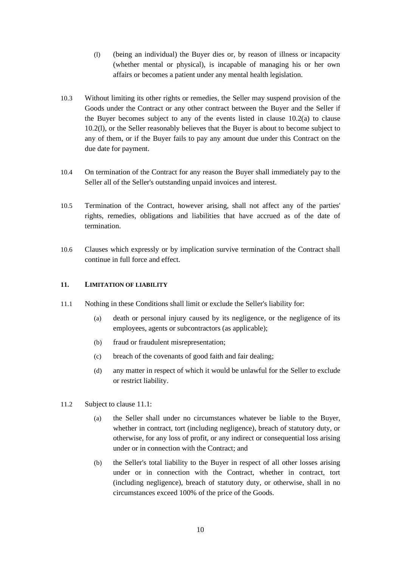- <span id="page-9-0"></span>(l) (being an individual) the Buyer dies or, by reason of illness or incapacity (whether mental or physical), is incapable of managing his or her own affairs or becomes a patient under any mental health legislation.
- 10.3 Without limiting its other rights or remedies, the Seller may suspend provision of the Goods under the Contract or any other contract between the Buyer and the Seller if the Buyer becomes subject to any of the events listed in clause  $10.2(a)$  to clause [10.2\(l\),](#page-9-0) or the Seller reasonably believes that the Buyer is about to become subject to any of them, or if the Buyer fails to pay any amount due under this Contract on the due date for payment.
- 10.4 On termination of the Contract for any reason the Buyer shall immediately pay to the Seller all of the Seller's outstanding unpaid invoices and interest.
- 10.5 Termination of the Contract, however arising, shall not affect any of the parties' rights, remedies, obligations and liabilities that have accrued as of the date of termination.
- 10.6 Clauses which expressly or by implication survive termination of the Contract shall continue in full force and effect.

### <span id="page-9-1"></span>**11. LIMITATION OF LIABILITY**

- 11.1 Nothing in these Conditions shall limit or exclude the Seller's liability for:
	- (a) death or personal injury caused by its negligence, or the negligence of its employees, agents or subcontractors (as applicable);
	- (b) fraud or fraudulent misrepresentation;
	- (c) breach of the covenants of good faith and fair dealing;
	- (d) any matter in respect of which it would be unlawful for the Seller to exclude or restrict liability.
- 11.2 Subject to clause [11.1:](#page-9-1)
	- (a) the Seller shall under no circumstances whatever be liable to the Buyer, whether in contract, tort (including negligence), breach of statutory duty, or otherwise, for any loss of profit, or any indirect or consequential loss arising under or in connection with the Contract; and
	- (b) the Seller's total liability to the Buyer in respect of all other losses arising under or in connection with the Contract, whether in contract, tort (including negligence), breach of statutory duty, or otherwise, shall in no circumstances exceed 100% of the price of the Goods.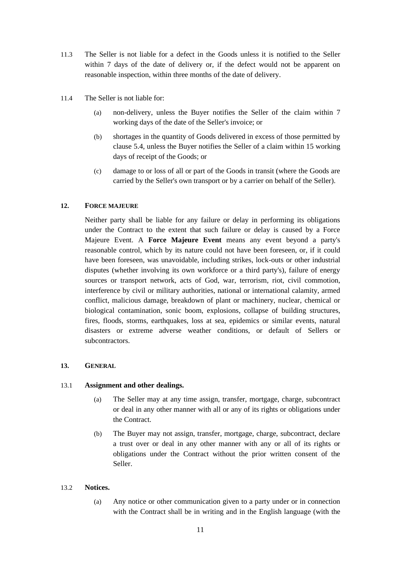- 11.3 The Seller is not liable for a defect in the Goods unless it is notified to the Seller within 7 days of the date of delivery or, if the defect would not be apparent on reasonable inspection, within three months of the date of delivery.
- 11.4 The Seller is not liable for:
	- (a) non-delivery, unless the Buyer notifies the Seller of the claim within 7 working days of the date of the Seller's invoice; or
	- (b) shortages in the quantity of Goods delivered in excess of those permitted by clause 5.4, unless the Buyer notifies the Seller of a claim within 15 working days of receipt of the Goods; or
	- (c) damage to or loss of all or part of the Goods in transit (where the Goods are carried by the Seller's own transport or by a carrier on behalf of the Seller).

# <span id="page-10-0"></span>**12. FORCE MAJEURE**

Neither party shall be liable for any failure or delay in performing its obligations under the Contract to the extent that such failure or delay is caused by a Force Majeure Event. A **Force Majeure Event** means any event beyond a party's reasonable control, which by its nature could not have been foreseen, or, if it could have been foreseen, was unavoidable, including strikes, lock-outs or other industrial disputes (whether involving its own workforce or a third party's), failure of energy sources or transport network, acts of God, war, terrorism, riot, civil commotion, interference by civil or military authorities, national or international calamity, armed conflict, malicious damage, breakdown of plant or machinery, nuclear, chemical or biological contamination, sonic boom, explosions, collapse of building structures, fires, floods, storms, earthquakes, loss at sea, epidemics or similar events, natural disasters or extreme adverse weather conditions, or default of Sellers or subcontractors.

### **13. GENERAL**

### 13.1 **Assignment and other dealings.**

- (a) The Seller may at any time assign, transfer, mortgage, charge, subcontract or deal in any other manner with all or any of its rights or obligations under the Contract.
- (b) The Buyer may not assign, transfer, mortgage, charge, subcontract, declare a trust over or deal in any other manner with any or all of its rights or obligations under the Contract without the prior written consent of the Seller.

### 13.2 **Notices.**

(a) Any notice or other communication given to a party under or in connection with the Contract shall be in writing and in the English language (with the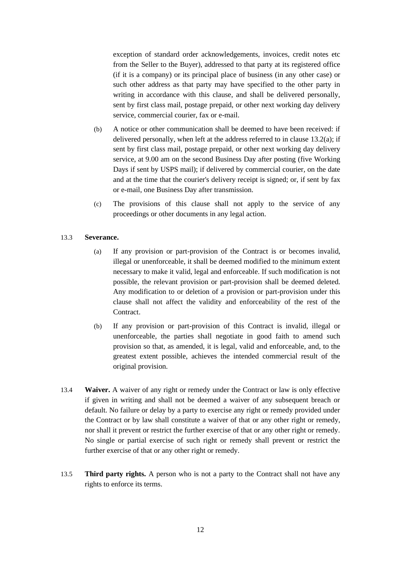exception of standard order acknowledgements, invoices, credit notes etc from the Seller to the Buyer), addressed to that party at its registered office (if it is a company) or its principal place of business (in any other case) or such other address as that party may have specified to the other party in writing in accordance with this clause, and shall be delivered personally, sent by first class mail, postage prepaid, or other next working day delivery service, commercial courier, fax or e-mail.

- (b) A notice or other communication shall be deemed to have been received: if delivered personally, when left at the address referred to in clause 13.2(a); if sent by first class mail, postage prepaid, or other next working day delivery service, at 9.00 am on the second Business Day after posting (five Working Days if sent by USPS mail); if delivered by commercial courier, on the date and at the time that the courier's delivery receipt is signed; or, if sent by fax or e-mail, one Business Day after transmission.
- (c) The provisions of this clause shall not apply to the service of any proceedings or other documents in any legal action.

# 13.3 **Severance.**

- (a) If any provision or part-provision of the Contract is or becomes invalid, illegal or unenforceable, it shall be deemed modified to the minimum extent necessary to make it valid, legal and enforceable. If such modification is not possible, the relevant provision or part-provision shall be deemed deleted. Any modification to or deletion of a provision or part-provision under this clause shall not affect the validity and enforceability of the rest of the Contract.
- (b) If any provision or part-provision of this Contract is invalid, illegal or unenforceable, the parties shall negotiate in good faith to amend such provision so that, as amended, it is legal, valid and enforceable, and, to the greatest extent possible, achieves the intended commercial result of the original provision.
- 13.4 **Waiver.** A waiver of any right or remedy under the Contract or law is only effective if given in writing and shall not be deemed a waiver of any subsequent breach or default. No failure or delay by a party to exercise any right or remedy provided under the Contract or by law shall constitute a waiver of that or any other right or remedy, nor shall it prevent or restrict the further exercise of that or any other right or remedy. No single or partial exercise of such right or remedy shall prevent or restrict the further exercise of that or any other right or remedy.
- 13.5 **Third party rights.** A person who is not a party to the Contract shall not have any rights to enforce its terms.